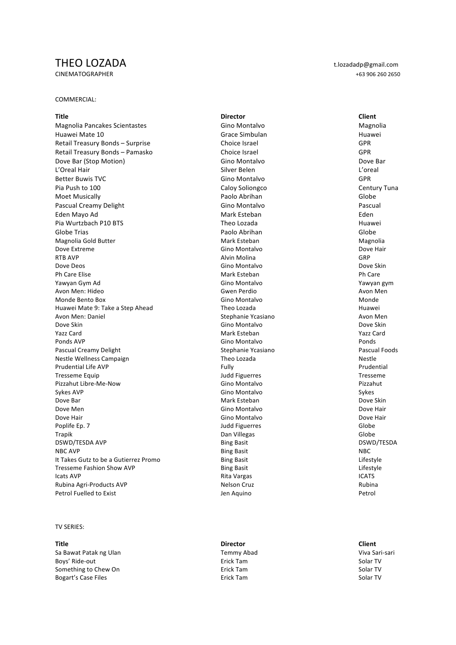# THEO LOZADA t.lozadadp@gmail.com

# COMMERCIAL:

Magnolia Pancakes Scientastes **Gino** Montalvo Gino Montalvo Magnolia Huawei Mate 10 **Grace** Simbulan Huawei Mate 10 Huawei Retail Treasury Bonds – Surprise Choice Israel Choice Israel Choice Israel GPR Retail Treasury Bonds – Pamasko Choice Israel Choice Israel Choice Israel GPR Dove Bar (Stop Motion) and Dove Bar (Stop Motion) and Dove Bar (Stop Motion) and Dove Bar (Stop Motion) and Dove Bar L'Oreal Hair Silver Belen L'oreal **Better Buwis TVC** Gino Montalvo Gino Montalvo GPR Pia Push to 100 Caloy Soliongco Caloy Soliongco Century Tuna Moet Musically **Notable Community** Paolo Abrihan Moet Musically Globe Pascual Creamy Delight Communication Communication Communication Communication Communication Communication Pascual Eden Mayo Ad Mark Esteban Eden Pia Wurtzbach P10 BTS **Theo Lozada** Theo Lozada **Huawei** Globe Trias **Paolo Abrihan** Paolo Abrihan **Paolo Abrihan** Globe Magnolia Gold Butter **Mark** Collection Mark Esteban Magnolia Magnolia Magnolia Dove Extreme **Solution Contains Containers** Gino Montalvo **Containers** Dove Hair RTB AVP Alvin Molina GRP Dove Deos Gino Dove Sking and Dove Sking and Dove Sking and Dove Sking and Dove Sking and Dove Sking and Dove Skin Ph Care Elise Philosophy (Philosophy Mark Esteban Philosophy Philosophy Philosophy Philosophy Philosophy Philosophy Philosophy Philosophy Philosophy Philosophy Philosophy Philosophy Philosophy Philosophy Philosophy Philoso Yawyan Gym Ad **Yawyan am Summar Communist Communist Communist Communist Communist Communist Communist Communist Communist Communist Communist Communist Communist Communist Communist Communist Communist Communist Communist** Avon Men: Hideo **Gwen Perdio** Gwen Perdio Avon Men Monde Bento Box **Monde** Monde Bento Box **Gino** Montalvo Gino Monde Monde Huawei Mate 9: Take a Step Ahead Theo Lozada Theo Lozada Theo Huawei Avon Men: Daniel **Australian:** Stephanie Ycasiano Avon Men Avon Men Avon Men Avon Men Avon Men Avon Men Avon Men Dove Skin Gino Dove Skin Gino Montalvo Dove Skin Dove Skin Dove Skin Dove Skin Dove Skin Dove Skin Dove Skin D Yazz Card Mark Esteban Yazz Card Ponds AVP and the contract of the contract of the Gino Montalvo Contract of the contract of the Ponds of the Ponds Pascual Creamy Delight **Stephanie Ycasiano** Pascual Foods Pascual Foods Nestle Wellness Campaign and the control of the Corresponding Theo Lozada Nestle Nestle Prudential Life AVP<br>
Prudential Life AVP<br>
Tresseme Fquin Tresseme Equip Judd Figuerres Tresseme Pizzahut Libre-Me-Now<br>Sykes AVP Sykes AVP Gino Montalvo Sykes Dove Bar Mark Esteban Dove Skin Dove Skin Dove Skin Dove Skin Dove Skin Dove Skin Dove Skin Dove Skin Dove Skin Dove Men **Dove Men** Gino Montalvo **Gino Montalvo** Dove Hair Dove Hair **Dove Hair** Gino Montalvo **Contained Base** Dove Hair **Dove Hair** Base Contained Base Contained Base Contained Base Contained Base Contained Base Contained Base Contained Base Contained Base Contained Base Contain Poplife Ep. 7 Globe Trapik Dan Villegas Globe DSWD/TESDA AVP **Bing Basit** Bing Basit **Bing Basit** Bing Basit **DSWD/TESDA** NBC AVP Bing Basit NBC It Takes Gutz to be a Gutierrez Promo Bing Basit Bing Basit Cases and the String Lifestyle Lifestyle Tresseme Fashion Show AVP **Bing Basit** Bing Basit **Example 2** Lifestyle Lifestyle<br>
Rita Vargas **Bing Basit** CATS CATS Icats AVP Rita Vargas ICATS Rubina Agri-Products AVP **Nelson Cruz** Rubina Petrol Fuelled to Exist **According to Exist** Jen Aquino **Petrol Fuelled** to Exist

# **TV SERIES:**

Sa Bawat Patak ng Ulan Temmy Abad Viva Sari-sari Boys' Ride-out **Erick Tam** Solar TV Controller Erick Tam Solar TV Controller Solar TV Controller Solar TV Controller Solar TV Controller Solar TV Controller Solar TV Controller Solar TV Controller Solar TV Controller Solar Something to Chew On **Existence** Erick Tam **Existence** Erick Tam Solar TV Bogart's Case Files **Exercise Exercise Exercise Exercise Exercise Exercise Exercise Exercise Exercise Exercise E** 

**Title Director Client**

**Title Director Client**

CINEMATOGRAPHER +63 906 260 2650